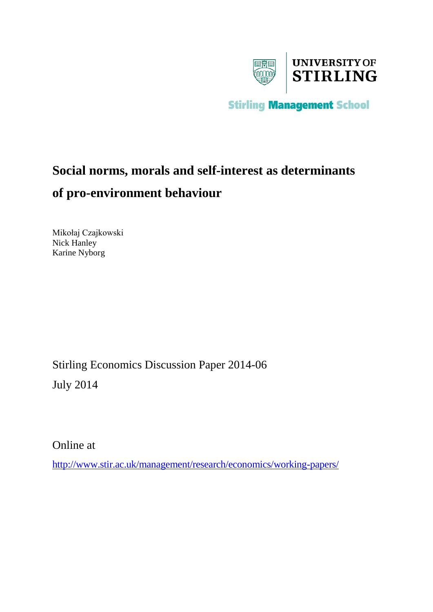

**Stirling Management School** 

# **Social norms, morals and self-interest as determinants of pro-environment behaviour**

Mikołaj Czajkowski Nick Hanley Karine Nyborg

Stirling Economics Discussion Paper 2014-06

July 2014

Online at

<http://www.stir.ac.uk/management/research/economics/working-papers/>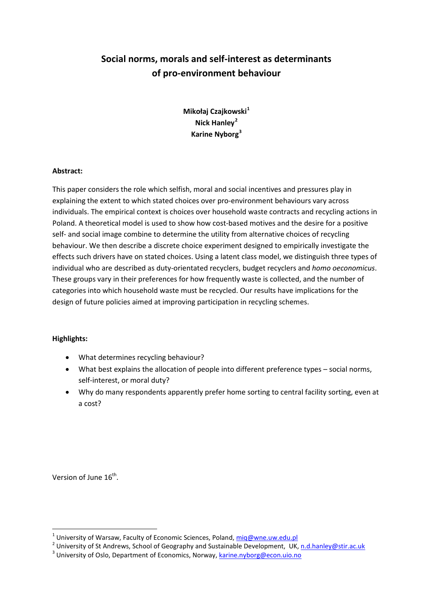# **Social norms, morals and self-interest as determinants of pro-environment behaviour**

**Mikołaj Czajkowski[1](#page-1-0) Nick Hanley[2](#page-1-1) Karine Nyborg[3](#page-1-2)**

## **Abstract:**

This paper considers the role which selfish, moral and social incentives and pressures play in explaining the extent to which stated choices over pro-environment behaviours vary across individuals. The empirical context is choices over household waste contracts and recycling actions in Poland. A theoretical model is used to show how cost-based motives and the desire for a positive self- and social image combine to determine the utility from alternative choices of recycling behaviour. We then describe a discrete choice experiment designed to empirically investigate the effects such drivers have on stated choices. Using a latent class model, we distinguish three types of individual who are described as duty-orientated recyclers, budget recyclers and *homo oeconomicus*. These groups vary in their preferences for how frequently waste is collected, and the number of categories into which household waste must be recycled. Our results have implications for the design of future policies aimed at improving participation in recycling schemes.

# **Highlights:**

- What determines recycling behaviour?
- What best explains the allocation of people into different preference types social norms, self-interest, or moral duty?
- Why do many respondents apparently prefer home sorting to central facility sorting, even at a cost?

Version of June 16<sup>th</sup>.

<span id="page-1-3"></span><span id="page-1-1"></span><span id="page-1-0"></span><sup>&</sup>lt;sup>1</sup> University of Warsaw, Faculty of Economic Sciences, Poland,  $\frac{m \cdot n}{m \cdot q}$  *mig Quintersity* of St Andrews, School of Geography and Sustainable Development, UK, n.d.hanley @stir.ac.uk  $\frac{3}{10}$  University of Oslo.

<span id="page-1-2"></span>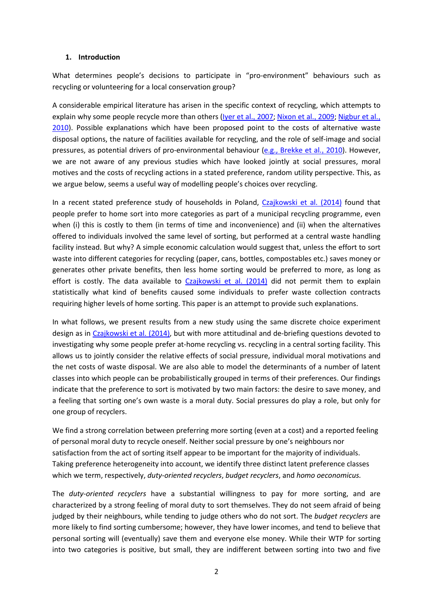#### **1. Introduction**

What determines people's decisions to participate in "pro-environment" behaviours such as recycling or volunteering for a local conservation group?

A considerable empirical literature has arisen in the specific context of recycling, which attempts to explain why some people recycle more than others [\(Iyer et al.](#page-15-0), 2007; [Nixon et al.](#page-16-0), 2009; [Nigbur et al.](#page-16-1), [2010\)](#page-16-1). Possible explanations which have been proposed point to the costs of alternative waste disposal options, the nature of facilities available for recycling, and the role of self-image and social pressures, as potential drivers of pro-environmental behaviour [\(e.g., Brekke et al.](#page-15-1), 2010). However, we are not aware of any previous studies which have looked jointly at social pressures, moral motives and the costs of recycling actions in a stated preference, random utility perspective. This, as we argue below, seems a useful way of modelling people's choices over recycling.

In a recent stated preference study of households in Poland, [Czajkowski et al. \(2014\)](#page-15-2) found that people prefer to home sort into more categories as part of a municipal recycling programme, even when (i) this is costly to them (in terms of time and inconvenience) and (ii) when the alternatives offered to individuals involved the same level of sorting, but performed at a central waste handling facility instead. But why? A simple economic calculation would suggest that, unless the effort to sort waste into different categories for recycling (paper, cans, bottles, compostables etc.) saves money or generates other private benefits, then less home sorting would be preferred to more, as long as effort is costly. The data available to [Czajkowski et al. \(2014\)](#page-15-2) did not permit them to explain statistically what kind of benefits caused some individuals to prefer waste collection contracts requiring higher levels of home sorting. This paper is an attempt to provide such explanations.

In what follows, we present results from a new study using the same discrete choice experiment design as in [Czajkowski et al. \(2014\),](#page-15-2) but with more attitudinal and de-briefing questions devoted to investigating why some people prefer at-home recycling vs. recycling in a central sorting facility. This allows us to jointly consider the relative effects of social pressure, individual moral motivations and the net costs of waste disposal. We are also able to model the determinants of a number of latent classes into which people can be probabilistically grouped in terms of their preferences. Our findings indicate that the preference to sort is motivated by two main factors: the desire to save money, and a feeling that sorting one's own waste is a moral duty. Social pressures do play a role, but only for one group of recyclers.

We find a strong correlation between preferring more sorting (even at a cost) and a reported feeling of personal moral duty to recycle oneself. Neither social pressure by one's neighbours nor satisfaction from the act of sorting itself appear to be important for the majority of individuals. Taking preference heterogeneity into account, we identify three distinct latent preference classes which we term, respectively, *duty-oriented recyclers*, *budget recyclers*, and *homo oeconomicus.*

The *duty-oriented recyclers* have a substantial willingness to pay for more sorting, and are characterized by a strong feeling of moral duty to sort themselves. They do not seem afraid of being judged by their neighbours, while tending to judge others who do not sort. The *budget recyclers* are more likely to find sorting cumbersome; however, they have lower incomes, and tend to believe that personal sorting will (eventually) save them and everyone else money. While their WTP for sorting into two categories is positive, but small, they are indifferent between sorting into two and five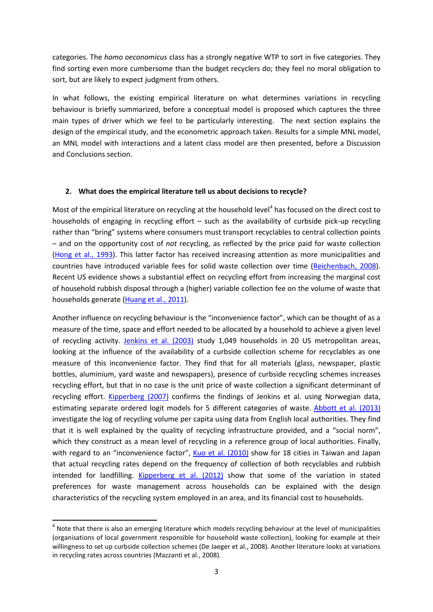categories. The *homo oeconomicus* class has a strongly negative WTP to sort in five categories. They find sorting even more cumbersome than the budget recyclers do; they feel no moral obligation to sort, but are likely to expect judgment from others.

In what follows, the existing empirical literature on what determines variations in recycling behaviour is briefly summarized, before a conceptual model is proposed which captures the three main types of driver which we feel to be particularly interesting. The next section explains the design of the empirical study, and the econometric approach taken. Results for a simple MNL model, an MNL model with interactions and a latent class model are then presented, before a Discussion and Conclusions section.

#### **2. What does the empirical literature tell us about decisions to recycle?**

Most of the empirical literature on recycling at the household level<sup>[4](#page-1-3)</sup> has focused on the direct cost to households of engaging in recycling effort – such as the availability of curbside pick-up recycling rather than "bring" systems where consumers must transport recyclables to central collection points – and on the opportunity cost of *not* recycling, as reflected by the price paid for waste collection [\(Hong et al.](#page-15-3), 1993). This latter factor has received increasing attention as more municipalities and countries have introduced variable fees for solid waste collection over time [\(Reichenbach](#page-16-2), 2008). Recent US evidence shows a substantial effect on recycling effort from increasing the marginal cost of household rubbish disposal through a (higher) variable collection fee on the volume of waste that households generate [\(Huang et al.](#page-15-4), 2011).

Another influence on recycling behaviour is the "inconvenience factor", which can be thought of as a measure of the time, space and effort needed to be allocated by a household to achieve a given level of recycling activity. [Jenkins et al. \(2003\)](#page-15-5) study 1,049 households in 20 US metropolitan areas, looking at the influence of the availability of a curbside collection scheme for recyclables as one measure of this inconvenience factor. They find that for all materials (glass, newspaper, plastic bottles, aluminium, yard waste and newspapers), presence of curbside recycling schemes increases recycling effort, but that in no case is the unit price of waste collection a significant determinant of recycling effort. [Kipperberg \(2007\)](#page-15-6) confirms the findings of Jenkins et al. using Norwegian data, estimating separate ordered logit models for 5 different categories of waste. [Abbott et al. \(2013\)](#page-15-7) investigate the log of recycling volume per capita using data from English local authorities. They find that it is well explained by the quality of recycling infrastructure provided, and a "social norm", which they construct as a mean level of recycling in a reference group of local authorities. Finally, with regard to an "inconvenience factor", [Kuo et al. \(2010\)](#page-15-8) show for 18 cities in Taiwan and Japan that actual recycling rates depend on the frequency of collection of both recyclables and rubbish intended for landfilling. [Kipperberg et al. \(2012\)](#page-15-9) show that some of the variation in stated preferences for waste management across households can be explained with the design characteristics of the recycling system employed in an area, and its financial cost to households.

<span id="page-3-0"></span><sup>&</sup>lt;sup>4</sup> Note that there is also an emerging literature which models recycling behaviour at the level of municipalities (organisations of local government responsible for household waste collection), looking for example at their willingness to set up curbside collection schemes (De Jaeger et al., 2008). Another literature looks at variations in recycling rates across countries (Mazzanti et al., 2008).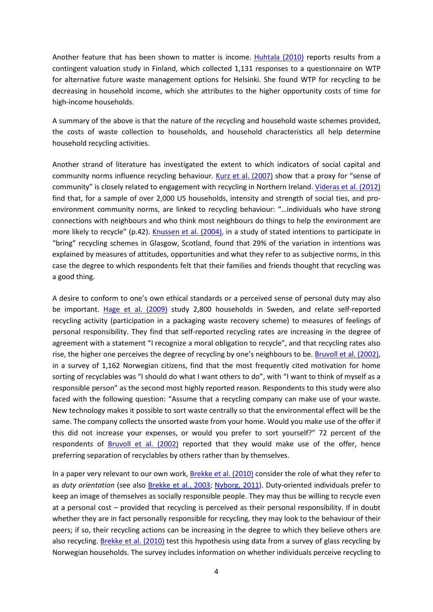Another feature that has been shown to matter is income. [Huhtala \(2010\)](#page-15-10) reports results from a contingent valuation study in Finland, which collected 1,131 responses to a questionnaire on WTP for alternative future waste management options for Helsinki. She found WTP for recycling to be decreasing in household income, which she attributes to the higher opportunity costs of time for high-income households.

A summary of the above is that the nature of the recycling and household waste schemes provided, the costs of waste collection to households, and household characteristics all help determine household recycling activities.

Another strand of literature has investigated the extent to which indicators of social capital and community norms influence recycling behaviour. [Kurz et al. \(2007\)](#page-15-11) show that a proxy for "sense of community" is closely related to engagement with recycling in Northern Ireland. [Videras et al. \(2012\)](#page-16-3) find that, for a sample of over 2,000 US households, intensity and strength of social ties, and proenvironment community norms, are linked to recycling behaviour: "…individuals who have strong connections with neighbours and who think most neighbours do things to help the environment are more likely to recycle" (p.42). [Knussen et al. \(2004\),](#page-15-12) in a study of stated intentions to participate in "bring" recycling schemes in Glasgow, Scotland, found that 29% of the variation in intentions was explained by measures of attitudes, opportunities and what they refer to as subjective norms, in this case the degree to which respondents felt that their families and friends thought that recycling was a good thing.

A desire to conform to one's own ethical standards or a perceived sense of personal duty may also be important. [Hage et al. \(2009\)](#page-15-13) study 2,800 households in Sweden, and relate self-reported recycling activity (participation in a packaging waste recovery scheme) to measures of feelings of personal responsibility. They find that self-reported recycling rates are increasing in the degree of agreement with a statement "I recognize a moral obligation to recycle", and that recycling rates also rise, the higher one perceives the degree of recycling by one's neighbours to be. [Bruvoll et al. \(2002\),](#page-15-14) in a survey of 1,162 Norwegian citizens, find that the most frequently cited motivation for home sorting of recyclables was "I should do what I want others to do", with "I want to think of myself as a responsible person" as the second most highly reported reason. Respondents to this study were also faced with the following question: "Assume that a recycling company can make use of your waste. New technology makes it possible to sort waste centrally so that the environmental effect will be the same. The company collects the unsorted waste from your home. Would you make use of the offer if this did not increase your expenses, or would you prefer to sort yourself?" 72 percent of the respondents of [Bruvoll et al. \(2002\)](#page-15-14) reported that they would make use of the offer, hence preferring separation of recyclables by others rather than by themselves.

In a paper very relevant to our own work, [Brekke et al. \(2010\)](#page-15-1) consider the role of what they refer to as *duty orientation* (see also [Brekke et al.](#page-15-15), 2003; [Nyborg](#page-16-4), 2011). Duty-oriented individuals prefer to keep an image of themselves as socially responsible people. They may thus be willing to recycle even at a personal cost – provided that recycling is perceived as their personal responsibility. If in doubt whether they are in fact personally responsible for recycling, they may look to the behaviour of their peers; if so, their recycling actions can be increasing in the degree to which they believe others are also recycling. [Brekke et al. \(2010\)](#page-15-1) test this hypothesis using data from a survey of glass recycling by Norwegian households. The survey includes information on whether individuals perceive recycling to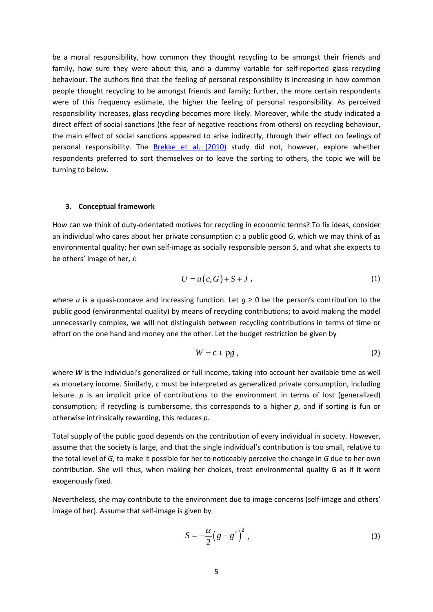be a moral responsibility, how common they thought recycling to be amongst their friends and family, how sure they were about this, and a dummy variable for self-reported glass recycling behaviour. The authors find that the feeling of personal responsibility is increasing in how common people thought recycling to be amongst friends and family; further, the more certain respondents were of this frequency estimate, the higher the feeling of personal responsibility. As perceived responsibility increases, glass recycling becomes more likely. Moreover, while the study indicated a direct effect of social sanctions (the fear of negative reactions from others) on recycling behaviour, the main effect of social sanctions appeared to arise indirectly, through their effect on feelings of personal responsibility. The **Brekke et al.** (2010) study did not, however, explore whether respondents preferred to sort themselves or to leave the sorting to others, the topic we will be turning to below.

#### **3. Conceptual framework**

How can we think of duty-orientated motives for recycling in economic terms? To fix ideas, consider an individual who cares about her private consumption *c*; a public good *G*, which we may think of as environmental quality; her own self-image as socially responsible person *S*, and what she expects to be others' image of her, *J*:

$$
U = u(c, G) + S + J \tag{1}
$$

where *u* is a quasi-concave and increasing function. Let  $q \ge 0$  be the person's contribution to the public good (environmental quality) by means of recycling contributions; to avoid making the model unnecessarily complex, we will not distinguish between recycling contributions in terms of time or effort on the one hand and money one the other. Let the budget restriction be given by

$$
W = c + pg \tag{2}
$$

where *W* is the individual's generalized or full income, taking into account her available time as well as monetary income. Similarly, *c* must be interpreted as generalized private consumption, including leisure. *p* is an implicit price of contributions to the environment in terms of lost (generalized) consumption; if recycling is cumbersome, this corresponds to a higher *p*, and if sorting is fun or otherwise intrinsically rewarding, this reduces *p*.

Total supply of the public good depends on the contribution of every individual in society. However, assume that the society is large, and that the single individual's contribution is too small, relative to the total level of *G*, to make it possible for her to noticeably perceive the change in *G* due to her own contribution. She will thus, when making her choices, treat environmental quality G as if it were exogenously fixed.

Nevertheless, she may contribute to the environment due to image concerns (self-image and others' image of her). Assume that self-image is given by

$$
S = -\frac{\alpha}{2} \left( g - g^* \right)^2 , \tag{3}
$$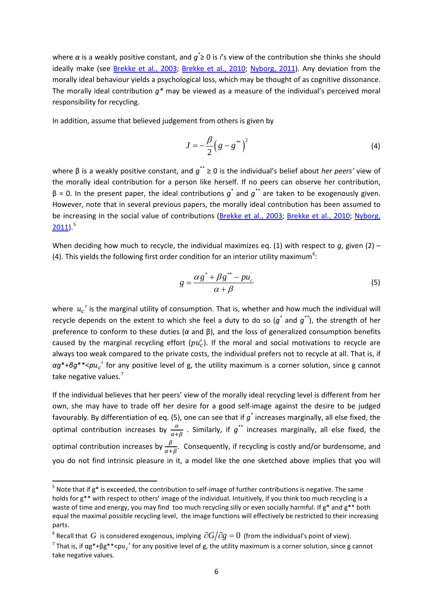where *α* is a weakly positive constant, and *g\** ≥ 0 is *i*'s view of the contribution she thinks she should ideally make (see [Brekke et al.](#page-15-15), 2003; [Brekke et al.](#page-15-1), 2010; [Nyborg](#page-16-4), 2011). Any deviation from the morally ideal behaviour yields a psychological loss, which may be thought of as cognitive dissonance. The morally ideal contribution *g\** may be viewed as a measure of the individual's perceived moral responsibility for recycling.

In addition, assume that believed judgement from others is given by

$$
J = -\frac{\beta}{2} \left( g - g^{\ast \ast} \right)^2 \tag{4}
$$

where β is a weakly positive constant, and *g\*\** ≥ 0 is the individual's belief about *her peers'* view of the morally ideal contribution for a person like herself. If no peers can observe her contribution, β = 0. In the present paper, the ideal contributions *g\** and *g\*\** are taken to be exogenously given. However, note that in several previous papers, the morally ideal contribution has been assumed to be increasing in the social value of contributions [\(Brekke et al.](#page-15-15), 2003; [Brekke et al.](#page-15-1), 2010; [Nyborg](#page-16-4),  $2011$ ).<sup>[5](#page-3-0)</sup>

When deciding how much to recycle, the individual maximizes eq. (1) with respect to *q*, given (2) – (4). This yields the following first order condition for an interior utility maximum<sup>[6](#page-6-0)</sup>:

$$
g = \frac{\alpha g^* + \beta g^{**} - p u_c'}{\alpha + \beta} \tag{5}
$$

where  $u_c'$  is the marginal utility of consumption. That is, whether and how much the individual will recycle depends on the extent to which she feel a duty to do so (*g\** and *g\*\**), the strength of her preference to conform to these duties (*α* and β), and the loss of generalized consumption benefits caused by the marginal recycling effort  $(pu'_c)$ . If the moral and social motivations to recycle are always too weak compared to the private costs, the individual prefers not to recycle at all. That is, if *αg*\*+*βg*\*\*<*p*′ for any positive level of g, the utility maximum is a corner solution, since g cannot take negative values.<sup>[7](#page-6-1)</sup>

If the individual believes that her peers' view of the morally ideal recycling level is different from her own, she may have to trade off her desire for a good self-image against the desire to be judged favourably. By differentiation of eq. (5), one can see that if *g\** increases marginally, all else fixed, the optimal contribution increases by  $\frac{\alpha}{\alpha+\beta}$  . Similarly, if  $g^{**}$  increases marginally, all else fixed, the optimal contribution increases by  $\frac{\beta}{\alpha+\beta}$ . Consequently, if recycling is costly and/or burdensome, and you do not find intrinsic pleasure in it, a model like the one sketched above implies that you will

 $5$  Note that if g\* is exceeded, the contribution to self-image of further contributions is negative. The same holds for g\*\* with respect to others' image of the individual. Intuitively, if you think too much recycling is a waste of time and energy, you may find too much recycling silly or even socially harmful. If  $g^*$  and  $g^{**}$  both equal the maximal possible recycling level, the image functions will effectively be restricted to their increasing parts.

<span id="page-6-0"></span><sup>&</sup>lt;sup>6</sup> Recall that  $G$  is considered exogenous, implying  $\partial G/\partial g = 0$  (from the individual's point of view).

<span id="page-6-2"></span><span id="page-6-1"></span><sup>&</sup>lt;sup>7</sup> That is, if  $\alpha g^* + \beta g^* * < p u_c'$  for any positive level of g, the utility maximum is a corner solution, since g cannot take negative values.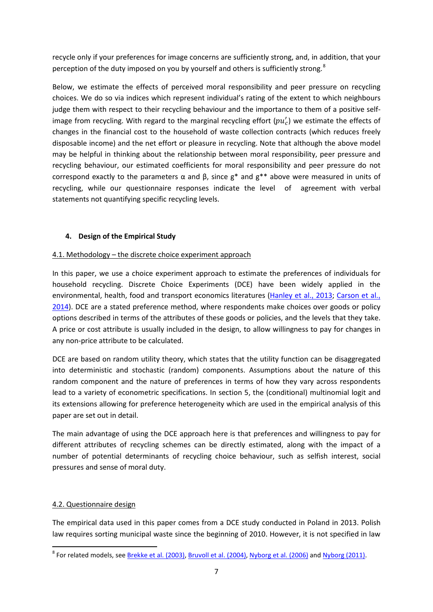recycle only if your preferences for image concerns are sufficiently strong, and, in addition, that your perception of the duty imposed on you by yourself and others is sufficiently strong.<sup>[8](#page-6-2)</sup>

Below, we estimate the effects of perceived moral responsibility and peer pressure on recycling choices. We do so via indices which represent individual's rating of the extent to which neighbours judge them with respect to their recycling behaviour and the importance to them of a positive selfimage from recycling. With regard to the marginal recycling effort  $(pu'_c)$  we estimate the effects of changes in the financial cost to the household of waste collection contracts (which reduces freely disposable income) and the net effort or pleasure in recycling. Note that although the above model may be helpful in thinking about the relationship between moral responsibility, peer pressure and recycling behaviour, our estimated coefficients for moral responsibility and peer pressure do not correspond exactly to the parameters  $\alpha$  and  $\beta$ , since  $g^*$  and  $g^{**}$  above were measured in units of recycling, while our questionnaire responses indicate the level of agreement with verbal statements not quantifying specific recycling levels.

# **4. Design of the Empirical Study**

# 4.1. Methodology – the discrete choice experiment approach

In this paper, we use a choice experiment approach to estimate the preferences of individuals for household recycling. Discrete Choice Experiments (DCE) have been widely applied in the environmental, health, food and transport economics literatures [\(Hanley et al.](#page-15-16), 2013; [Carson et al.](#page-15-17), [2014\)](#page-15-17). DCE are a stated preference method, where respondents make choices over goods or policy options described in terms of the attributes of these goods or policies, and the levels that they take. A price or cost attribute is usually included in the design, to allow willingness to pay for changes in any non-price attribute to be calculated.

DCE are based on random utility theory, which states that the utility function can be disaggregated into deterministic and stochastic (random) components. Assumptions about the nature of this random component and the nature of preferences in terms of how they vary across respondents lead to a variety of econometric specifications. In section 5, the (conditional) multinomial logit and its extensions allowing for preference heterogeneity which are used in the empirical analysis of this paper are set out in detail.

The main advantage of using the DCE approach here is that preferences and willingness to pay for different attributes of recycling schemes can be directly estimated, along with the impact of a number of potential determinants of recycling choice behaviour, such as selfish interest, social pressures and sense of moral duty.

# 4.2. Questionnaire design

<span id="page-7-0"></span>The empirical data used in this paper comes from a DCE study conducted in Poland in 2013. Polish law requires sorting municipal waste since the beginning of 2010. However, it is not specified in law

<sup>&</sup>lt;sup>8</sup> For related models, see [Brekke et al. \(2003\),](#page-15-15) [Bruvoll et al. \(2004\),](#page-15-18) [Nyborg et al. \(2006\)](#page-16-5) and [Nyborg \(2011\).](#page-16-4)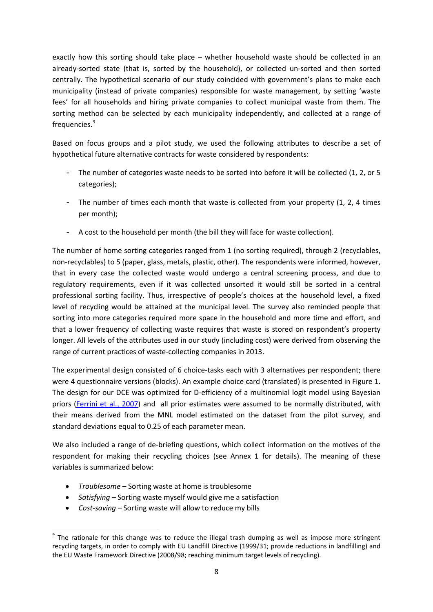exactly how this sorting should take place – whether household waste should be collected in an already-sorted state (that is, sorted by the household), or collected un-sorted and then sorted centrally. The hypothetical scenario of our study coincided with government's plans to make each municipality (instead of private companies) responsible for waste management, by setting 'waste fees' for all households and hiring private companies to collect municipal waste from them. The sorting method can be selected by each municipality independently, and collected at a range of frequencies.<sup>[9](#page-7-0)</sup>

Based on focus groups and a pilot study, we used the following attributes to describe a set of hypothetical future alternative contracts for waste considered by respondents:

- The number of categories waste needs to be sorted into before it will be collected (1, 2, or 5 categories);
- The number of times each month that waste is collected from your property (1, 2, 4 times per month);
- A cost to the household per month (the bill they will face for waste collection).

The number of home sorting categories ranged from 1 (no sorting required), through 2 (recyclables, non-recyclables) to 5 (paper, glass, metals, plastic, other). The respondents were informed, however, that in every case the collected waste would undergo a central screening process, and due to regulatory requirements, even if it was collected unsorted it would still be sorted in a central professional sorting facility. Thus, irrespective of people's choices at the household level, a fixed level of recycling would be attained at the municipal level. The survey also reminded people that sorting into more categories required more space in the household and more time and effort, and that a lower frequency of collecting waste requires that waste is stored on respondent's property longer. All levels of the attributes used in our study (including cost) were derived from observing the range of current practices of waste-collecting companies in 2013.

The experimental design consisted of 6 choice-tasks each with 3 alternatives per respondent; there were 4 questionnaire versions (blocks). An example choice card (translated) is presented in Figure 1. The design for our DCE was optimized for D-efficiency of a multinomial logit model using Bayesian priors [\(Ferrini et al.](#page-15-19), 2007) and all prior estimates were assumed to be normally distributed, with their means derived from the MNL model estimated on the dataset from the pilot survey, and standard deviations equal to 0.25 of each parameter mean.

We also included a range of de-briefing questions, which collect information on the motives of the respondent for making their recycling choices (see Annex 1 for details). The meaning of these variables is summarized below:

- *Troublesome* Sorting waste at home is troublesome
- *Satisfying* Sorting waste myself would give me a satisfaction
- *Cost-saving* Sorting waste will allow to reduce my bills

<span id="page-8-0"></span><sup>&</sup>lt;sup>9</sup> The rationale for this change was to reduce the illegal trash dumping as well as impose more stringent recycling targets, in order to comply with EU Landfill Directive (1999/31; provide reductions in landfilling) and the EU Waste Framework Directive (2008/98; reaching minimum target levels of recycling).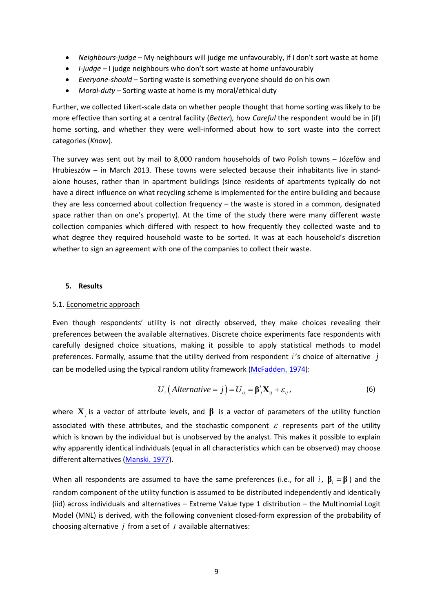- *Neighbours-judge* My neighbours will judge me unfavourably, if I don't sort waste at home
- *I-judge* I judge neighbours who don't sort waste at home unfavourably
- *Everyone-should* Sorting waste is something everyone should do on his own
- *Moral-duty* Sorting waste at home is my moral/ethical duty

Further, we collected Likert-scale data on whether people thought that home sorting was likely to be more effective than sorting at a central facility (*Better*)*,* how *Careful* the respondent would be in (if) home sorting, and whether they were well-informed about how to sort waste into the correct categories (*Know*).

The survey was sent out by mail to 8,000 random households of two Polish towns – Józefów and Hrubieszów – in March 2013. These towns were selected because their inhabitants live in standalone houses, rather than in apartment buildings (since residents of apartments typically do not have a direct influence on what recycling scheme is implemented for the entire building and because they are less concerned about collection frequency – the waste is stored in a common, designated space rather than on one's property). At the time of the study there were many different waste collection companies which differed with respect to how frequently they collected waste and to what degree they required household waste to be sorted. It was at each household's discretion whether to sign an agreement with one of the companies to collect their waste.

## **5. Results**

#### 5.1. Econometric approach

Even though respondents' utility is not directly observed, they make choices revealing their preferences between the available alternatives. Discrete choice experiments face respondents with carefully designed choice situations, making it possible to apply statistical methods to model preferences. Formally, assume that the utility derived from respondent *i* 's choice of alternative *j* can be modelled using the typical random utility framework [\(McFadden](#page-16-6), 1974):

$$
U_i\big(Alternative = j\big) = U_{ij} = \beta'_j \mathbf{X}_{ij} + \varepsilon_{ij},\tag{6}
$$

where **X***<sup>j</sup>* is a vector of attribute levels, and **β** is a vector of parameters of the utility function associated with these attributes, and the stochastic component  $\varepsilon$  represents part of the utility which is known by the individual but is unobserved by the analyst. This makes it possible to explain why apparently identical individuals (equal in all characteristics which can be observed) may choose different alternatives [\(Manski](#page-15-20), 1977).

When all respondents are assumed to have the same preferences (i.e., for all *i*,  $\beta_i = \beta$ ) and the random component of the utility function is assumed to be distributed independently and identically (iid) across individuals and alternatives – Extreme Value type 1 distribution – the Multinomial Logit Model (MNL) is derived, with the following convenient closed-form expression of the probability of choosing alternative *j* from a set of *J* available alternatives: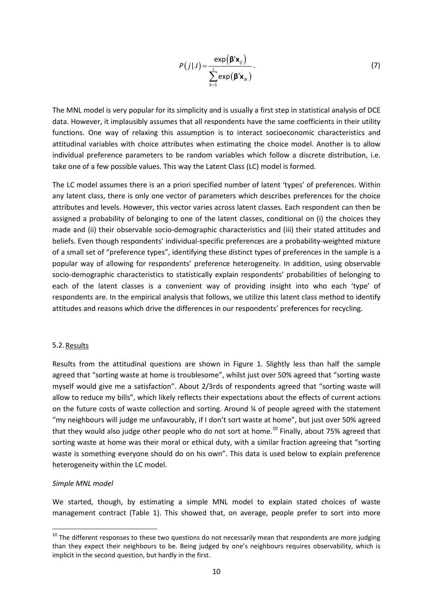$$
P(j|J) = \frac{\exp(\beta' \mathbf{x}_{ij})}{\sum_{k=1}^{J} \exp(\beta' \mathbf{x}_{ik})}.
$$
 (7)

The MNL model is very popular for its simplicity and is usually a first step in statistical analysis of DCE data. However, it implausibly assumes that all respondents have the same coefficients in their utility functions. One way of relaxing this assumption is to interact socioeconomic characteristics and attitudinal variables with choice attributes when estimating the choice model. Another is to allow individual preference parameters to be random variables which follow a discrete distribution, i.e. take one of a few possible values. This way the Latent Class (LC) model is formed.

The LC model assumes there is an a priori specified number of latent 'types' of preferences. Within any latent class, there is only one vector of parameters which describes preferences for the choice attributes and levels. However, this vector varies across latent classes. Each respondent can then be assigned a probability of belonging to one of the latent classes, conditional on (i) the choices they made and (ii) their observable socio-demographic characteristics and (iii) their stated attitudes and beliefs. Even though respondents' individual-specific preferences are a probability-weighted mixture of a small set of "preference types", identifying these distinct types of preferences in the sample is a popular way of allowing for respondents' preference heterogeneity. In addition, using observable socio-demographic characteristics to statistically explain respondents' probabilities of belonging to each of the latent classes is a convenient way of providing insight into who each 'type' of respondents are. In the empirical analysis that follows, we utilize this latent class method to identify attitudes and reasons which drive the differences in our respondents' preferences for recycling.

#### 5.2.Results

Results from the attitudinal questions are shown in Figure 1. Slightly less than half the sample agreed that "sorting waste at home is troublesome", whilst just over 50% agreed that "sorting waste myself would give me a satisfaction". About 2/3rds of respondents agreed that "sorting waste will allow to reduce my bills", which likely reflects their expectations about the effects of current actions on the future costs of waste collection and sorting. Around ¼ of people agreed with the statement "my neighbours will judge me unfavourably, if I don't sort waste at home", but just over 50% agreed that they would also judge other people who do not sort at home.<sup>[10](#page-8-0)</sup> Finally, about 75% agreed that sorting waste at home was their moral or ethical duty, with a similar fraction agreeing that "sorting waste is something everyone should do on his own". This data is used below to explain preference heterogeneity within the LC model.

#### <span id="page-10-0"></span>*Simple MNL model*

We started, though, by estimating a simple MNL model to explain stated choices of waste management contract (Table 1). This showed that, on average, people prefer to sort into more

 $10$  The different responses to these two questions do not necessarily mean that respondents are more judging than they expect their neighbours to be. Being judged by one's neighbours requires observability, which is implicit in the second question, but hardly in the first.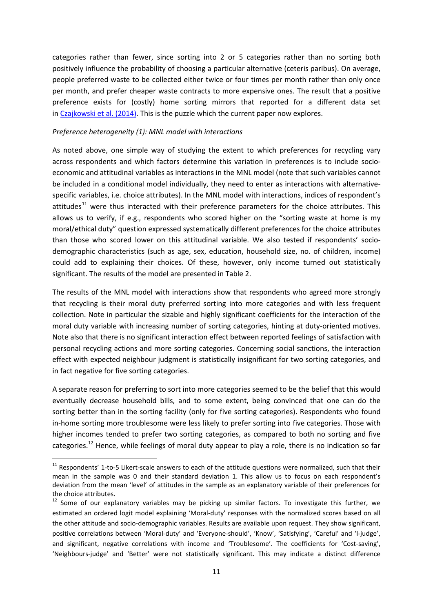<span id="page-11-1"></span>categories rather than fewer, since sorting into 2 or 5 categories rather than no sorting both positively influence the probability of choosing a particular alternative (ceteris paribus). On average, people preferred waste to be collected either twice or four times per month rather than only once per month, and prefer cheaper waste contracts to more expensive ones. The result that a positive preference exists for (costly) home sorting mirrors that reported for a different data set in [Czajkowski et al. \(2014\).](#page-15-2) This is the puzzle which the current paper now explores.

#### *Preference heterogeneity (1): MNL model with interactions*

As noted above, one simple way of studying the extent to which preferences for recycling vary across respondents and which factors determine this variation in preferences is to include socioeconomic and attitudinal variables as interactions in the MNL model (note that such variables cannot be included in a conditional model individually, they need to enter as interactions with alternativespecific variables, i.e. choice attributes). In the MNL model with interactions, indices of respondent's attitudes<sup>[11](#page-10-0)</sup> were thus interacted with their preference parameters for the choice attributes. This allows us to verify, if e.g., respondents who scored higher on the "sorting waste at home is my moral/ethical duty" question expressed systematically different preferences for the choice attributes than those who scored lower on this attitudinal variable. We also tested if respondents' sociodemographic characteristics (such as age, sex, education, household size, no. of children, income) could add to explaining their choices. Of these, however, only income turned out statistically significant. The results of the model are presented in Table 2.

The results of the MNL model with interactions show that respondents who agreed more strongly that recycling is their moral duty preferred sorting into more categories and with less frequent collection. Note in particular the sizable and highly significant coefficients for the interaction of the moral duty variable with increasing number of sorting categories, hinting at duty-oriented motives. Note also that there is no significant interaction effect between reported feelings of satisfaction with personal recycling actions and more sorting categories. Concerning social sanctions, the interaction effect with expected neighbour judgment is statistically insignificant for two sorting categories, and in fact negative for five sorting categories.

A separate reason for preferring to sort into more categories seemed to be the belief that this would eventually decrease household bills, and to some extent, being convinced that one can do the sorting better than in the sorting facility (only for five sorting categories). Respondents who found in-home sorting more troublesome were less likely to prefer sorting into five categories. Those with higher incomes tended to prefer two sorting categories, as compared to both no sorting and five categories.<sup>[12](#page-11-0)</sup> Hence, while feelings of moral duty appear to play a role, there is no indication so far

 $11$  Respondents' 1-to-5 Likert-scale answers to each of the attitude questions were normalized, such that their mean in the sample was 0 and their standard deviation 1. This allow us to focus on each respondent's deviation from the mean 'level' of attitudes in the sample as an explanatory variable of their preferences for the choice attributes.

<span id="page-11-0"></span><sup>&</sup>lt;sup>12</sup> Some of our explanatory variables may be picking up similar factors. To investigate this further, we estimated an ordered logit model explaining 'Moral-duty' responses with the normalized scores based on all the other attitude and socio-demographic variables. Results are available upon request. They show significant, positive correlations between 'Moral-duty' and 'Everyone-should', 'Know', 'Satisfying', 'Careful' and 'I-judge', and significant, negative correlations with income and 'Troublesome'. The coefficients for 'Cost-saving', 'Neighbours-judge' and 'Better' were not statistically significant. This may indicate a distinct difference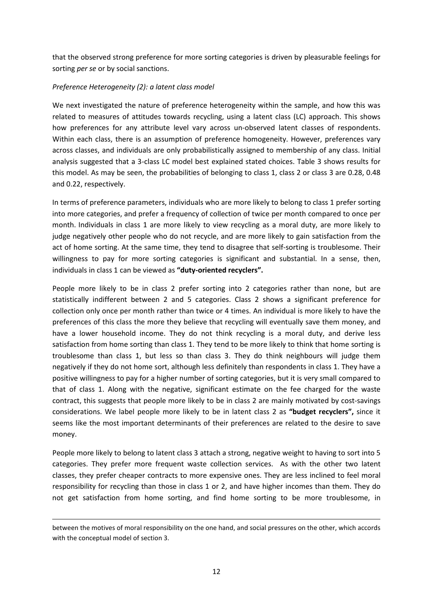that the observed strong preference for more sorting categories is driven by pleasurable feelings for sorting *per se* or by social sanctions.

# *Preference Heterogeneity (2): a latent class model*

We next investigated the nature of preference heterogeneity within the sample, and how this was related to measures of attitudes towards recycling, using a latent class (LC) approach. This shows how preferences for any attribute level vary across un-observed latent classes of respondents. Within each class, there is an assumption of preference homogeneity. However, preferences vary across classes, and individuals are only probabilistically assigned to membership of any class. Initial analysis suggested that a 3-class LC model best explained stated choices. Table 3 shows results for this model. As may be seen, the probabilities of belonging to class 1, class 2 or class 3 are 0.28, 0.48 and 0.22, respectively.

In terms of preference parameters, individuals who are more likely to belong to class 1 prefer sorting into more categories, and prefer a frequency of collection of twice per month compared to once per month. Individuals in class 1 are more likely to view recycling as a moral duty, are more likely to judge negatively other people who do not recycle, and are more likely to gain satisfaction from the act of home sorting. At the same time, they tend to disagree that self-sorting is troublesome. Their willingness to pay for more sorting categories is significant and substantial. In a sense, then, individuals in class 1 can be viewed as **"duty-oriented recyclers".**

People more likely to be in class 2 prefer sorting into 2 categories rather than none, but are statistically indifferent between 2 and 5 categories. Class 2 shows a significant preference for collection only once per month rather than twice or 4 times. An individual is more likely to have the preferences of this class the more they believe that recycling will eventually save them money, and have a lower household income. They do not think recycling is a moral duty, and derive less satisfaction from home sorting than class 1. They tend to be more likely to think that home sorting is troublesome than class 1, but less so than class 3. They do think neighbours will judge them negatively if they do not home sort, although less definitely than respondents in class 1. They have a positive willingness to pay for a higher number of sorting categories, but it is very small compared to that of class 1. Along with the negative, significant estimate on the fee charged for the waste contract, this suggests that people more likely to be in class 2 are mainly motivated by cost-savings considerations. We label people more likely to be in latent class 2 as **"budget recyclers",** since it seems like the most important determinants of their preferences are related to the desire to save money.

People more likely to belong to latent class 3 attach a strong, negative weight to having to sort into 5 categories. They prefer more frequent waste collection services. As with the other two latent classes, they prefer cheaper contracts to more expensive ones. They are less inclined to feel moral responsibility for recycling than those in class 1 or 2, and have higher incomes than them. They do not get satisfaction from home sorting, and find home sorting to be more troublesome, in

**.** 

between the motives of moral responsibility on the one hand, and social pressures on the other, which accords with the conceptual model of section 3.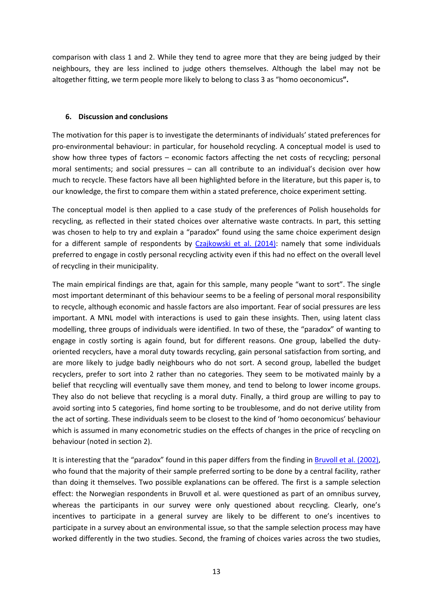comparison with class 1 and 2. While they tend to agree more that they are being judged by their neighbours, they are less inclined to judge others themselves. Although the label may not be altogether fitting, we term people more likely to belong to class 3 as "homo oeconomicus**".**

## **6. Discussion and conclusions**

The motivation for this paper is to investigate the determinants of individuals' stated preferences for pro-environmental behaviour: in particular, for household recycling. A conceptual model is used to show how three types of factors – economic factors affecting the net costs of recycling; personal moral sentiments; and social pressures – can all contribute to an individual's decision over how much to recycle. These factors have all been highlighted before in the literature, but this paper is, to our knowledge, the first to compare them within a stated preference, choice experiment setting.

The conceptual model is then applied to a case study of the preferences of Polish households for recycling, as reflected in their stated choices over alternative waste contracts. In part, this setting was chosen to help to try and explain a "paradox" found using the same choice experiment design for a different sample of respondents by [Czajkowski et al. \(2014\):](#page-15-2) namely that some individuals preferred to engage in costly personal recycling activity even if this had no effect on the overall level of recycling in their municipality.

The main empirical findings are that, again for this sample, many people "want to sort". The single most important determinant of this behaviour seems to be a feeling of personal moral responsibility to recycle, although economic and hassle factors are also important. Fear of social pressures are less important. A MNL model with interactions is used to gain these insights. Then, using latent class modelling, three groups of individuals were identified. In two of these, the "paradox" of wanting to engage in costly sorting is again found, but for different reasons. One group, labelled the dutyoriented recyclers, have a moral duty towards recycling, gain personal satisfaction from sorting, and are more likely to judge badly neighbours who do not sort. A second group, labelled the budget recyclers, prefer to sort into 2 rather than no categories. They seem to be motivated mainly by a belief that recycling will eventually save them money, and tend to belong to lower income groups. They also do not believe that recycling is a moral duty. Finally, a third group are willing to pay to avoid sorting into 5 categories, find home sorting to be troublesome, and do not derive utility from the act of sorting. These individuals seem to be closest to the kind of 'homo oeconomicus' behaviour which is assumed in many econometric studies on the effects of changes in the price of recycling on behaviour (noted in section 2).

It is interesting that the "paradox" found in this paper differs from the finding in **Bruvoll et al. (2002)**, who found that the majority of their sample preferred sorting to be done by a central facility, rather than doing it themselves. Two possible explanations can be offered. The first is a sample selection effect: the Norwegian respondents in Bruvoll et al. were questioned as part of an omnibus survey, whereas the participants in our survey were only questioned about recycling. Clearly, one's incentives to participate in a general survey are likely to be different to one's incentives to participate in a survey about an environmental issue, so that the sample selection process may have worked differently in the two studies. Second, the framing of choices varies across the two studies,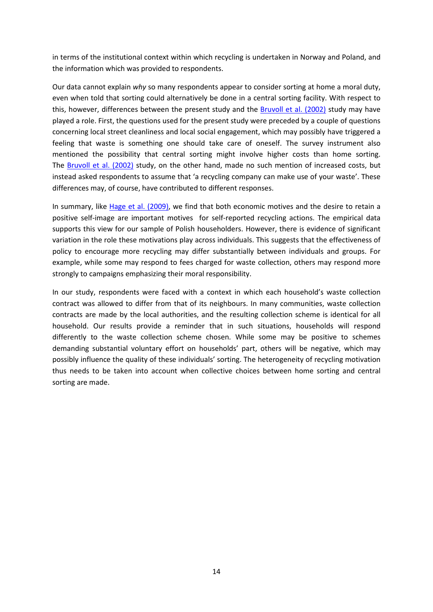in terms of the institutional context within which recycling is undertaken in Norway and Poland, and the information which was provided to respondents.

Our data cannot explain *why* so many respondents appear to consider sorting at home a moral duty, even when told that sorting could alternatively be done in a central sorting facility. With respect to this, however, differences between the present study and the [Bruvoll et al. \(2002\)](#page-15-14) study may have played a role. First, the questions used for the present study were preceded by a couple of questions concerning local street cleanliness and local social engagement, which may possibly have triggered a feeling that waste is something one should take care of oneself. The survey instrument also mentioned the possibility that central sorting might involve higher costs than home sorting. The [Bruvoll et al. \(2002\)](#page-15-14) study, on the other hand, made no such mention of increased costs, but instead asked respondents to assume that 'a recycling company can make use of your waste'. These differences may, of course, have contributed to different responses.

In summary, like [Hage et al. \(2009\),](#page-15-13) we find that both economic motives and the desire to retain a positive self-image are important motives for self-reported recycling actions. The empirical data supports this view for our sample of Polish householders. However, there is evidence of significant variation in the role these motivations play across individuals. This suggests that the effectiveness of policy to encourage more recycling may differ substantially between individuals and groups. For example, while some may respond to fees charged for waste collection, others may respond more strongly to campaigns emphasizing their moral responsibility.

In our study, respondents were faced with a context in which each household's waste collection contract was allowed to differ from that of its neighbours. In many communities, waste collection contracts are made by the local authorities, and the resulting collection scheme is identical for all household. Our results provide a reminder that in such situations, households will respond differently to the waste collection scheme chosen. While some may be positive to schemes demanding substantial voluntary effort on households' part, others will be negative, which may possibly influence the quality of these individuals' sorting. The heterogeneity of recycling motivation thus needs to be taken into account when collective choices between home sorting and central sorting are made.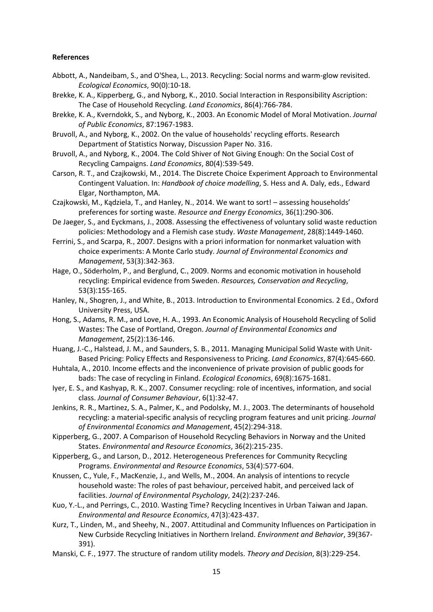#### **References**

- <span id="page-15-7"></span>Abbott, A., Nandeibam, S., and O'Shea, L., 2013. Recycling: Social norms and warm-glow revisited. *Ecological Economics*, 90(0):10-18.
- <span id="page-15-1"></span>Brekke, K. A., Kipperberg, G., and Nyborg, K., 2010. Social Interaction in Responsibility Ascription: The Case of Household Recycling. *Land Economics*, 86(4):766-784.
- <span id="page-15-15"></span>Brekke, K. A., Kverndokk, S., and Nyborg, K., 2003. An Economic Model of Moral Motivation. *Journal of Public Economics*, 87:1967-1983.
- <span id="page-15-14"></span>Bruvoll, A., and Nyborg, K., 2002. On the value of households' recycling efforts. Research Department of Statistics Norway, Discussion Paper No. 316.
- <span id="page-15-18"></span>Bruvoll, A., and Nyborg, K., 2004. The Cold Shiver of Not Giving Enough: On the Social Cost of Recycling Campaigns. *Land Economics*, 80(4):539-549.
- <span id="page-15-17"></span>Carson, R. T., and Czajkowski, M., 2014. The Discrete Choice Experiment Approach to Environmental Contingent Valuation. In: *Handbook of choice modelling*, S. Hess and A. Daly, eds., Edward Elgar, Northampton, MA.
- <span id="page-15-2"></span>Czajkowski, M., Kądziela, T., and Hanley, N., 2014. We want to sort! – assessing households' preferences for sorting waste. *Resource and Energy Economics*, 36(1):290-306.
- De Jaeger, S., and Eyckmans, J., 2008. Assessing the effectiveness of voluntary solid waste reduction policies: Methodology and a Flemish case study. *Waste Management*, 28(8):1449-1460.
- <span id="page-15-19"></span>Ferrini, S., and Scarpa, R., 2007. Designs with a priori information for nonmarket valuation with choice experiments: A Monte Carlo study. *Journal of Environmental Economics and Management*, 53(3):342-363.
- <span id="page-15-13"></span>Hage, O., Söderholm, P., and Berglund, C., 2009. Norms and economic motivation in household recycling: Empirical evidence from Sweden. *Resources, Conservation and Recycling*, 53(3):155-165.
- <span id="page-15-16"></span>Hanley, N., Shogren, J., and White, B., 2013. Introduction to Environmental Economics. 2 Ed., Oxford University Press, USA.
- <span id="page-15-3"></span>Hong, S., Adams, R. M., and Love, H. A., 1993. An Economic Analysis of Household Recycling of Solid Wastes: The Case of Portland, Oregon. *Journal of Environmental Economics and Management*, 25(2):136-146.
- <span id="page-15-4"></span>Huang, J.-C., Halstead, J. M., and Saunders, S. B., 2011. Managing Municipal Solid Waste with Unit-Based Pricing: Policy Effects and Responsiveness to Pricing. *Land Economics*, 87(4):645-660.
- <span id="page-15-10"></span>Huhtala, A., 2010. Income effects and the inconvenience of private provision of public goods for bads: The case of recycling in Finland. *Ecological Economics*, 69(8):1675-1681.
- <span id="page-15-0"></span>Iyer, E. S., and Kashyap, R. K., 2007. Consumer recycling: role of incentives, information, and social class. *Journal of Consumer Behaviour*, 6(1):32-47.
- <span id="page-15-5"></span>Jenkins, R. R., Martinez, S. A., Palmer, K., and Podolsky, M. J., 2003. The determinants of household recycling: a material-specific analysis of recycling program features and unit pricing. *Journal of Environmental Economics and Management*, 45(2):294-318.
- <span id="page-15-6"></span>Kipperberg, G., 2007. A Comparison of Household Recycling Behaviors in Norway and the United States. *Environmental and Resource Economics*, 36(2):215-235.
- <span id="page-15-9"></span>Kipperberg, G., and Larson, D., 2012. Heterogeneous Preferences for Community Recycling Programs. *Environmental and Resource Economics*, 53(4):577-604.
- <span id="page-15-12"></span>Knussen, C., Yule, F., MacKenzie, J., and Wells, M., 2004. An analysis of intentions to recycle household waste: The roles of past behaviour, perceived habit, and perceived lack of facilities. *Journal of Environmental Psychology*, 24(2):237-246.
- <span id="page-15-8"></span>Kuo, Y.-L., and Perrings, C., 2010. Wasting Time? Recycling Incentives in Urban Taiwan and Japan. *Environmental and Resource Economics*, 47(3):423-437.
- <span id="page-15-11"></span>Kurz, T., Linden, M., and Sheehy, N., 2007. Attitudinal and Community Influences on Participation in New Curbside Recycling Initiatives in Northern Ireland. *Environment and Behavior*, 39(367- 391).
- <span id="page-15-20"></span>Manski, C. F., 1977. The structure of random utility models. *Theory and Decision*, 8(3):229-254.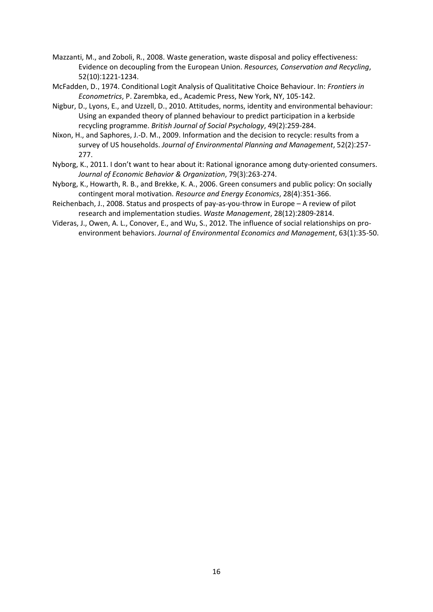- Mazzanti, M., and Zoboli, R., 2008. Waste generation, waste disposal and policy effectiveness: Evidence on decoupling from the European Union. *Resources, Conservation and Recycling*, 52(10):1221-1234.
- <span id="page-16-6"></span>McFadden, D., 1974. Conditional Logit Analysis of Qualititative Choice Behaviour. In: *Frontiers in Econometrics*, P. Zarembka, ed., Academic Press, New York, NY, 105-142.
- <span id="page-16-1"></span>Nigbur, D., Lyons, E., and Uzzell, D., 2010. Attitudes, norms, identity and environmental behaviour: Using an expanded theory of planned behaviour to predict participation in a kerbside recycling programme. *British Journal of Social Psychology*, 49(2):259-284.
- <span id="page-16-0"></span>Nixon, H., and Saphores, J.-D. M., 2009. Information and the decision to recycle: results from a survey of US households. *Journal of Environmental Planning and Management*, 52(2):257- 277.
- <span id="page-16-4"></span>Nyborg, K., 2011. I don't want to hear about it: Rational ignorance among duty-oriented consumers. *Journal of Economic Behavior & Organization*, 79(3):263-274.
- <span id="page-16-5"></span>Nyborg, K., Howarth, R. B., and Brekke, K. A., 2006. Green consumers and public policy: On socially contingent moral motivation. *Resource and Energy Economics*, 28(4):351-366.
- <span id="page-16-2"></span>Reichenbach, J., 2008. Status and prospects of pay-as-you-throw in Europe – A review of pilot research and implementation studies. *Waste Management*, 28(12):2809-2814.
- <span id="page-16-3"></span>Videras, J., Owen, A. L., Conover, E., and Wu, S., 2012. The influence of social relationships on proenvironment behaviors. *Journal of Environmental Economics and Management*, 63(1):35-50.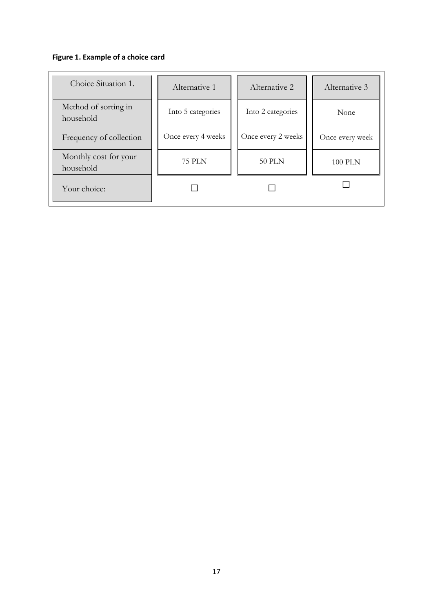# **Figure 1. Example of a choice card**

| Choice Situation 1.                | Alternative 1      | Alternative 2      | Alternative 3   |
|------------------------------------|--------------------|--------------------|-----------------|
| Method of sorting in<br>household  | Into 5 categories  | Into 2 categories  | None            |
| Frequency of collection            | Once every 4 weeks | Once every 2 weeks | Once every week |
| Monthly cost for your<br>household | <b>75 PLN</b>      | <b>50 PLN</b>      | <b>100 PLN</b>  |
| Your choice:                       |                    |                    |                 |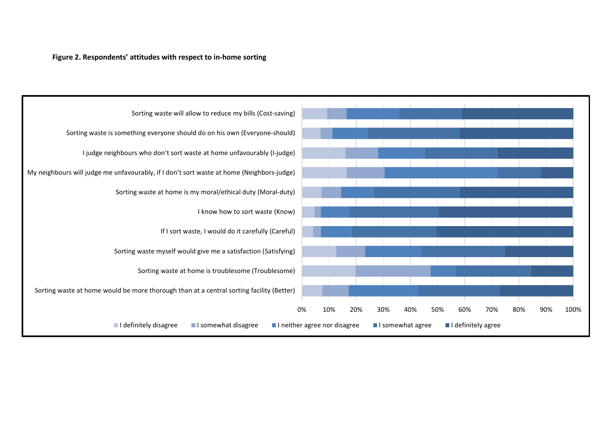#### **Figure 2. Respondents' attitudes with respect to in-home sorting**

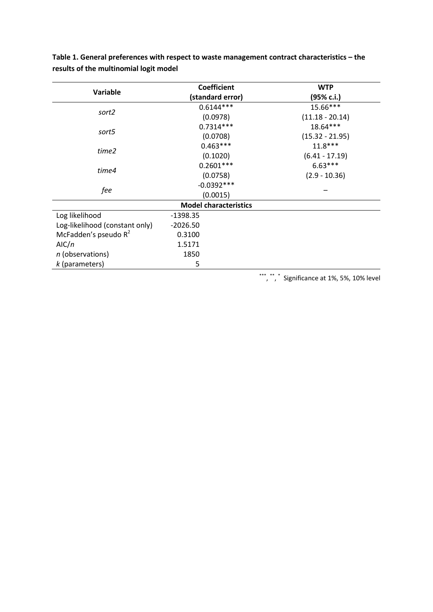|                                |             | <b>Coefficient</b>           | <b>WTP</b>        |
|--------------------------------|-------------|------------------------------|-------------------|
| Variable                       |             | (standard error)             | (95% c.i.)        |
|                                |             | $0.6144***$                  | 15.66***          |
| sort2                          |             | (0.0978)                     | $(11.18 - 20.14)$ |
|                                | $0.7314***$ |                              | 18.64***          |
| sort5                          |             | (0.0708)                     | $(15.32 - 21.95)$ |
|                                |             | $0.463***$                   | $11.8***$         |
| time2                          |             | (0.1020)                     | $(6.41 - 17.19)$  |
|                                | $0.2601***$ |                              | $6.63***$         |
| time4                          |             | (0.0758)                     | $(2.9 - 10.36)$   |
|                                |             | $-0.0392***$                 |                   |
| fee                            | (0.0015)    |                              |                   |
|                                |             | <b>Model characteristics</b> |                   |
| Log likelihood                 | $-1398.35$  |                              |                   |
| Log-likelihood (constant only) | $-2026.50$  |                              |                   |
| McFadden's pseudo $R^2$        | 0.3100      |                              |                   |
| AlC/n                          | 1.5171      |                              |                   |
| n (observations)               | 1850        |                              |                   |
| $k$ (parameters)               | 5           |                              |                   |

**Table 1. General preferences with respect to waste management contract characteristics – the results of the multinomial logit model**

\*\*\*, \*\*, \* Significance at 1%, 5%, 10% level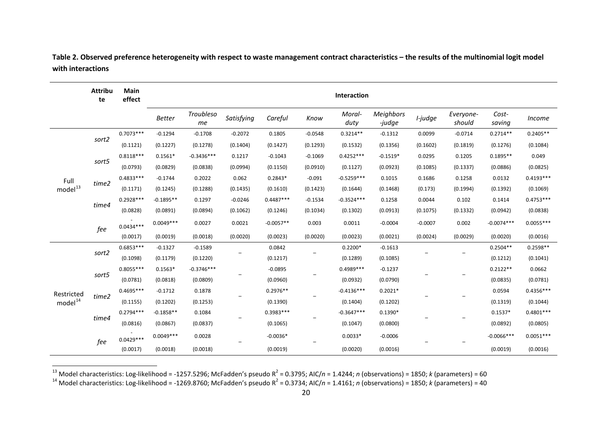|                     | <b>Attribu</b><br>te | Main<br>effect | Interaction   |                 |            |             |                              |                |                            |           |                     |                 |               |
|---------------------|----------------------|----------------|---------------|-----------------|------------|-------------|------------------------------|----------------|----------------------------|-----------|---------------------|-----------------|---------------|
|                     |                      |                | <b>Better</b> | Troubleso<br>mе | Satisfying | Careful     | Know                         | Moral-<br>duty | <b>Meighbors</b><br>-judge | I-judge   | Everyone-<br>should | Cost-<br>saving | <i>Income</i> |
|                     |                      | $0.7073***$    | $-0.1294$     | $-0.1708$       | $-0.2072$  | 0.1805      | $-0.0548$                    | $0.3214**$     | $-0.1312$                  | 0.0099    | $-0.0714$           | $0.2714**$      | $0.2405**$    |
|                     | sort2                | (0.1121)       | (0.1227)      | (0.1278)        | (0.1404)   | (0.1427)    | (0.1293)                     | (0.1532)       | (0.1356)                   | (0.1602)  | (0.1819)            | (0.1276)        | (0.1084)      |
|                     | sort5                | $0.8118***$    | $0.1561*$     | $-0.3436***$    | 0.1217     | $-0.1043$   | $-0.1069$                    | $0.4252***$    | $-0.1519*$                 | 0.0295    | 0.1205              | $0.1895**$      | 0.049         |
|                     |                      | (0.0793)       | (0.0829)      | (0.0838)        | (0.0994)   | (0.1150)    | (0.0910)                     | (0.1127)       | (0.0923)                   | (0.1085)  | (0.1337)            | (0.0886)        | (0.0825)      |
| Full                |                      | $0.4833***$    | $-0.1744$     | 0.2022          | 0.062      | $0.2843*$   | $-0.091$                     | $-0.5259***$   | 0.1015                     | 0.1686    | 0.1258              | 0.0132          | $0.4193***$   |
| model <sup>13</sup> | time2                | (0.1171)       | (0.1245)      | (0.1288)        | (0.1435)   | (0.1610)    | (0.1423)                     | (0.1644)       | (0.1468)                   | (0.173)   | (0.1994)            | (0.1392)        | (0.1069)      |
|                     | time4                | $0.2928***$    | $-0.1895**$   | 0.1297          | $-0.0246$  | $0.4487***$ | $-0.1534$                    | $-0.3524***$   | 0.1258                     | 0.0044    | 0.102               | 0.1414          | $0.4753***$   |
|                     |                      | (0.0828)       | (0.0891)      | (0.0894)        | (0.1062)   | (0.1246)    | (0.1034)                     | (0.1302)       | (0.0913)                   | (0.1075)  | (0.1332)            | (0.0942)        | (0.0838)      |
|                     | fee                  | $0.0434***$    | $0.0049***$   | 0.0027          | 0.0021     | $-0.0057**$ | 0.003                        | 0.0011         | $-0.0004$                  | $-0.0007$ | 0.002               | $-0.0074***$    | $0.0055***$   |
|                     |                      | (0.0017)       | (0.0019)      | (0.0018)        | (0.0020)   | (0.0023)    | (0.0020)                     | (0.0023)       | (0.0021)                   | (0.0024)  | (0.0029)            | (0.0020)        | (0.0016)      |
|                     | sort2                | $0.6853***$    | $-0.1327$     | $-0.1589$       |            | 0.0842      |                              | $0.2200*$      | $-0.1613$                  |           |                     | $0.2504**$      | $0.2598**$    |
|                     |                      | (0.1098)       | (0.1179)      | (0.1220)        |            | (0.1217)    |                              | (0.1289)       | (0.1085)                   |           |                     | (0.1212)        | (0.1041)      |
|                     | sort5                | $0.8055***$    | $0.1563*$     | $-0.3746***$    |            | $-0.0895$   |                              | $0.4989***$    | $-0.1237$                  |           |                     | $0.2122**$      | 0.0662        |
|                     |                      | (0.0781)       | (0.0818)      | (0.0809)        |            | (0.0960)    |                              | (0.0932)       | (0.0790)                   |           |                     | (0.0835)        | (0.0781)      |
| Restricted          | time2                | $0.4695***$    | $-0.1712$     | 0.1878          |            | $0.2976**$  |                              | $-0.4136***$   | $0.2021*$                  |           |                     | 0.0594          | $0.4356***$   |
| model <sup>14</sup> |                      | (0.1155)       | (0.1202)      | (0.1253)        |            | (0.1390)    |                              | (0.1404)       | (0.1202)                   |           |                     | (0.1319)        | (0.1044)      |
|                     |                      | $0.2794***$    | $-0.1858**$   | 0.1084          |            | 0.3983 ***  |                              | $-0.3647***$   | $0.1390*$                  |           |                     | $0.1537*$       | $0.4801***$   |
|                     | time4                | (0.0816)       | (0.0867)      | (0.0837)        |            | (0.1065)    |                              | (0.1047)       | (0.0800)                   |           |                     | (0.0892)        | (0.0805)      |
|                     | fee                  | $0.0429***$    | $0.0049***$   | 0.0028          |            | $-0.0036*$  | $\qquad \qquad \blacksquare$ | $0.0033*$      | $-0.0006$                  |           |                     | $-0.0066***$    | $0.0051***$   |
|                     |                      | (0.0017)       | (0.0018)      | (0.0018)        |            | (0.0019)    |                              | (0.0020)       | (0.0016)                   |           |                     | (0.0019)        | (0.0016)      |

<span id="page-20-0"></span>Table 2. Observed preference heterogeneity with respect to waste management contract characteristics – the results of the multinomial logit model **with interactions** 

<sup>13</sup> Model characteristics: Log-likelihood = -1257.5296; McFadden's pseudo R<sup>2</sup> = 0.3795; AIC/n = 1.4244; n (observations) = 1850; k (parameters) = 60<br><sup>14</sup> Model characteristics: Log-likelihood = -1269.8760; McFadden's ps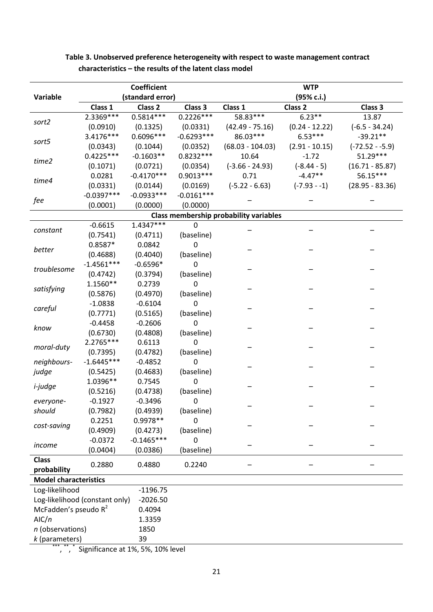| (standard error)<br>(95% c.i.)<br>Variable<br>Class <sub>2</sub><br>Class 3<br>Class 1<br>Class <sub>2</sub><br>Class 3<br>Class 1<br>$6.23**$<br>2.3369 ***<br>$0.5814***$<br>$0.2226***$<br>58.83***<br>13.87<br>sort2<br>(0.0910)<br>(0.0331)<br>$(42.49 - 75.16)$<br>$(0.24 - 12.22)$<br>$(-6.5 - 34.24)$<br>(0.1325)<br>86.03***<br>$6.53***$<br>3.4176***<br>0.6096 ***<br>$-0.6293***$<br>$-39.21**$<br>sort5<br>(0.0343)<br>(0.1044)<br>(0.0352)<br>$(-72.52 - -5.9)$<br>$(68.03 - 104.03)$<br>$(2.91 - 10.15)$<br>51.29 ***<br>$0.4225***$<br>$0.8232***$<br>$-0.1603**$<br>10.64<br>$-1.72$<br>time2<br>$(-8.44 - 5)$<br>(0.0721)<br>$(-3.66 - 24.93)$<br>$(16.71 - 85.87)$<br>(0.1071)<br>(0.0354)<br>$-4.47**$<br>56.15***<br>0.0281<br>$-0.4170***$<br>$0.9013***$<br>0.71<br>time4<br>(0.0331)<br>$(-5.22 - 6.63)$<br>$(-7.93 - 1)$<br>$(28.95 - 83.36)$<br>(0.0144)<br>(0.0169)<br>$-0.0397***$<br>$-0.0933***$<br>$-0.0161***$<br>fee<br>(0.0001)<br>(0.0000)<br>(0.0000)<br><b>Class membership probability variables</b><br>$1.4347***$<br>$-0.6615$<br>0<br>constant<br>(0.7541)<br>(baseline)<br>(0.4711)<br>$0.8587*$<br>0.0842<br>$\mathbf 0$<br>better<br>(0.4040)<br>(baseline)<br>(0.4688)<br>$-1.4561***$<br>$-0.6596*$<br>0<br>troublesome<br>(0.3794)<br>(baseline)<br>(0.4742)<br>1.1560**<br>0.2739<br>0<br>satisfying<br>(0.5876)<br>(0.4970)<br>(baseline)<br>$-1.0838$<br>$-0.6104$<br>0<br>careful<br>(0.7771)<br>(0.5165)<br>(baseline)<br>$-0.4458$<br>$-0.2606$<br>$\mathbf 0$<br>know<br>(0.6730)<br>(0.4808)<br>(baseline)<br>$2.2765***$<br>0.6113<br>0<br>moral-duty<br>(0.7395)<br>(0.4782)<br>(baseline)<br>0<br>$-1.6445***$<br>neighbours-<br>$-0.4852$<br>(0.5425)<br>(0.4683)<br>(baseline)<br>judge<br>1.0396**<br>0.7545<br>0<br><i>i-judge</i><br>(baseline)<br>(0.4738)<br>(0.5216)<br>0<br>$-0.1927$<br>$-0.3496$<br>everyone-<br>should<br>(baseline)<br>(0.7982)<br>(0.4939)<br>0.2251<br>0.9978 **<br>0<br>cost-saving<br>(0.4909)<br>(baseline)<br>(0.4273)<br>$-0.1465***$<br>$-0.0372$<br>0<br>income<br>(0.0404)<br>(0.0386)<br>(baseline)<br><b>Class</b><br>0.2880<br>0.4880<br>0.2240<br>probability<br><b>Model characteristics</b><br>Log-likelihood<br>$-1196.75$<br>Log-likelihood (constant only)<br>$-2026.50$<br>McFadden's pseudo R <sup>2</sup><br>0.4094<br>AlC/n<br>1.3359<br>n (observations)<br>1850<br>39<br>k (parameters) |  |  | <b>Coefficient</b> |  |  | <b>WTP</b> |  |  |
|---------------------------------------------------------------------------------------------------------------------------------------------------------------------------------------------------------------------------------------------------------------------------------------------------------------------------------------------------------------------------------------------------------------------------------------------------------------------------------------------------------------------------------------------------------------------------------------------------------------------------------------------------------------------------------------------------------------------------------------------------------------------------------------------------------------------------------------------------------------------------------------------------------------------------------------------------------------------------------------------------------------------------------------------------------------------------------------------------------------------------------------------------------------------------------------------------------------------------------------------------------------------------------------------------------------------------------------------------------------------------------------------------------------------------------------------------------------------------------------------------------------------------------------------------------------------------------------------------------------------------------------------------------------------------------------------------------------------------------------------------------------------------------------------------------------------------------------------------------------------------------------------------------------------------------------------------------------------------------------------------------------------------------------------------------------------------------------------------------------------------------------------------------------------------------------------------------------------------------------------------------------------------------------------------------------------------------------------------------------------------------------------------------|--|--|--------------------|--|--|------------|--|--|
|                                                                                                                                                                                                                                                                                                                                                                                                                                                                                                                                                                                                                                                                                                                                                                                                                                                                                                                                                                                                                                                                                                                                                                                                                                                                                                                                                                                                                                                                                                                                                                                                                                                                                                                                                                                                                                                                                                                                                                                                                                                                                                                                                                                                                                                                                                                                                                                                         |  |  |                    |  |  |            |  |  |
|                                                                                                                                                                                                                                                                                                                                                                                                                                                                                                                                                                                                                                                                                                                                                                                                                                                                                                                                                                                                                                                                                                                                                                                                                                                                                                                                                                                                                                                                                                                                                                                                                                                                                                                                                                                                                                                                                                                                                                                                                                                                                                                                                                                                                                                                                                                                                                                                         |  |  |                    |  |  |            |  |  |
|                                                                                                                                                                                                                                                                                                                                                                                                                                                                                                                                                                                                                                                                                                                                                                                                                                                                                                                                                                                                                                                                                                                                                                                                                                                                                                                                                                                                                                                                                                                                                                                                                                                                                                                                                                                                                                                                                                                                                                                                                                                                                                                                                                                                                                                                                                                                                                                                         |  |  |                    |  |  |            |  |  |
|                                                                                                                                                                                                                                                                                                                                                                                                                                                                                                                                                                                                                                                                                                                                                                                                                                                                                                                                                                                                                                                                                                                                                                                                                                                                                                                                                                                                                                                                                                                                                                                                                                                                                                                                                                                                                                                                                                                                                                                                                                                                                                                                                                                                                                                                                                                                                                                                         |  |  |                    |  |  |            |  |  |
|                                                                                                                                                                                                                                                                                                                                                                                                                                                                                                                                                                                                                                                                                                                                                                                                                                                                                                                                                                                                                                                                                                                                                                                                                                                                                                                                                                                                                                                                                                                                                                                                                                                                                                                                                                                                                                                                                                                                                                                                                                                                                                                                                                                                                                                                                                                                                                                                         |  |  |                    |  |  |            |  |  |
|                                                                                                                                                                                                                                                                                                                                                                                                                                                                                                                                                                                                                                                                                                                                                                                                                                                                                                                                                                                                                                                                                                                                                                                                                                                                                                                                                                                                                                                                                                                                                                                                                                                                                                                                                                                                                                                                                                                                                                                                                                                                                                                                                                                                                                                                                                                                                                                                         |  |  |                    |  |  |            |  |  |
|                                                                                                                                                                                                                                                                                                                                                                                                                                                                                                                                                                                                                                                                                                                                                                                                                                                                                                                                                                                                                                                                                                                                                                                                                                                                                                                                                                                                                                                                                                                                                                                                                                                                                                                                                                                                                                                                                                                                                                                                                                                                                                                                                                                                                                                                                                                                                                                                         |  |  |                    |  |  |            |  |  |
|                                                                                                                                                                                                                                                                                                                                                                                                                                                                                                                                                                                                                                                                                                                                                                                                                                                                                                                                                                                                                                                                                                                                                                                                                                                                                                                                                                                                                                                                                                                                                                                                                                                                                                                                                                                                                                                                                                                                                                                                                                                                                                                                                                                                                                                                                                                                                                                                         |  |  |                    |  |  |            |  |  |
|                                                                                                                                                                                                                                                                                                                                                                                                                                                                                                                                                                                                                                                                                                                                                                                                                                                                                                                                                                                                                                                                                                                                                                                                                                                                                                                                                                                                                                                                                                                                                                                                                                                                                                                                                                                                                                                                                                                                                                                                                                                                                                                                                                                                                                                                                                                                                                                                         |  |  |                    |  |  |            |  |  |
|                                                                                                                                                                                                                                                                                                                                                                                                                                                                                                                                                                                                                                                                                                                                                                                                                                                                                                                                                                                                                                                                                                                                                                                                                                                                                                                                                                                                                                                                                                                                                                                                                                                                                                                                                                                                                                                                                                                                                                                                                                                                                                                                                                                                                                                                                                                                                                                                         |  |  |                    |  |  |            |  |  |
|                                                                                                                                                                                                                                                                                                                                                                                                                                                                                                                                                                                                                                                                                                                                                                                                                                                                                                                                                                                                                                                                                                                                                                                                                                                                                                                                                                                                                                                                                                                                                                                                                                                                                                                                                                                                                                                                                                                                                                                                                                                                                                                                                                                                                                                                                                                                                                                                         |  |  |                    |  |  |            |  |  |
|                                                                                                                                                                                                                                                                                                                                                                                                                                                                                                                                                                                                                                                                                                                                                                                                                                                                                                                                                                                                                                                                                                                                                                                                                                                                                                                                                                                                                                                                                                                                                                                                                                                                                                                                                                                                                                                                                                                                                                                                                                                                                                                                                                                                                                                                                                                                                                                                         |  |  |                    |  |  |            |  |  |
|                                                                                                                                                                                                                                                                                                                                                                                                                                                                                                                                                                                                                                                                                                                                                                                                                                                                                                                                                                                                                                                                                                                                                                                                                                                                                                                                                                                                                                                                                                                                                                                                                                                                                                                                                                                                                                                                                                                                                                                                                                                                                                                                                                                                                                                                                                                                                                                                         |  |  |                    |  |  |            |  |  |
|                                                                                                                                                                                                                                                                                                                                                                                                                                                                                                                                                                                                                                                                                                                                                                                                                                                                                                                                                                                                                                                                                                                                                                                                                                                                                                                                                                                                                                                                                                                                                                                                                                                                                                                                                                                                                                                                                                                                                                                                                                                                                                                                                                                                                                                                                                                                                                                                         |  |  |                    |  |  |            |  |  |
|                                                                                                                                                                                                                                                                                                                                                                                                                                                                                                                                                                                                                                                                                                                                                                                                                                                                                                                                                                                                                                                                                                                                                                                                                                                                                                                                                                                                                                                                                                                                                                                                                                                                                                                                                                                                                                                                                                                                                                                                                                                                                                                                                                                                                                                                                                                                                                                                         |  |  |                    |  |  |            |  |  |
|                                                                                                                                                                                                                                                                                                                                                                                                                                                                                                                                                                                                                                                                                                                                                                                                                                                                                                                                                                                                                                                                                                                                                                                                                                                                                                                                                                                                                                                                                                                                                                                                                                                                                                                                                                                                                                                                                                                                                                                                                                                                                                                                                                                                                                                                                                                                                                                                         |  |  |                    |  |  |            |  |  |
|                                                                                                                                                                                                                                                                                                                                                                                                                                                                                                                                                                                                                                                                                                                                                                                                                                                                                                                                                                                                                                                                                                                                                                                                                                                                                                                                                                                                                                                                                                                                                                                                                                                                                                                                                                                                                                                                                                                                                                                                                                                                                                                                                                                                                                                                                                                                                                                                         |  |  |                    |  |  |            |  |  |
|                                                                                                                                                                                                                                                                                                                                                                                                                                                                                                                                                                                                                                                                                                                                                                                                                                                                                                                                                                                                                                                                                                                                                                                                                                                                                                                                                                                                                                                                                                                                                                                                                                                                                                                                                                                                                                                                                                                                                                                                                                                                                                                                                                                                                                                                                                                                                                                                         |  |  |                    |  |  |            |  |  |
|                                                                                                                                                                                                                                                                                                                                                                                                                                                                                                                                                                                                                                                                                                                                                                                                                                                                                                                                                                                                                                                                                                                                                                                                                                                                                                                                                                                                                                                                                                                                                                                                                                                                                                                                                                                                                                                                                                                                                                                                                                                                                                                                                                                                                                                                                                                                                                                                         |  |  |                    |  |  |            |  |  |
|                                                                                                                                                                                                                                                                                                                                                                                                                                                                                                                                                                                                                                                                                                                                                                                                                                                                                                                                                                                                                                                                                                                                                                                                                                                                                                                                                                                                                                                                                                                                                                                                                                                                                                                                                                                                                                                                                                                                                                                                                                                                                                                                                                                                                                                                                                                                                                                                         |  |  |                    |  |  |            |  |  |
|                                                                                                                                                                                                                                                                                                                                                                                                                                                                                                                                                                                                                                                                                                                                                                                                                                                                                                                                                                                                                                                                                                                                                                                                                                                                                                                                                                                                                                                                                                                                                                                                                                                                                                                                                                                                                                                                                                                                                                                                                                                                                                                                                                                                                                                                                                                                                                                                         |  |  |                    |  |  |            |  |  |
|                                                                                                                                                                                                                                                                                                                                                                                                                                                                                                                                                                                                                                                                                                                                                                                                                                                                                                                                                                                                                                                                                                                                                                                                                                                                                                                                                                                                                                                                                                                                                                                                                                                                                                                                                                                                                                                                                                                                                                                                                                                                                                                                                                                                                                                                                                                                                                                                         |  |  |                    |  |  |            |  |  |
|                                                                                                                                                                                                                                                                                                                                                                                                                                                                                                                                                                                                                                                                                                                                                                                                                                                                                                                                                                                                                                                                                                                                                                                                                                                                                                                                                                                                                                                                                                                                                                                                                                                                                                                                                                                                                                                                                                                                                                                                                                                                                                                                                                                                                                                                                                                                                                                                         |  |  |                    |  |  |            |  |  |
|                                                                                                                                                                                                                                                                                                                                                                                                                                                                                                                                                                                                                                                                                                                                                                                                                                                                                                                                                                                                                                                                                                                                                                                                                                                                                                                                                                                                                                                                                                                                                                                                                                                                                                                                                                                                                                                                                                                                                                                                                                                                                                                                                                                                                                                                                                                                                                                                         |  |  |                    |  |  |            |  |  |
|                                                                                                                                                                                                                                                                                                                                                                                                                                                                                                                                                                                                                                                                                                                                                                                                                                                                                                                                                                                                                                                                                                                                                                                                                                                                                                                                                                                                                                                                                                                                                                                                                                                                                                                                                                                                                                                                                                                                                                                                                                                                                                                                                                                                                                                                                                                                                                                                         |  |  |                    |  |  |            |  |  |
|                                                                                                                                                                                                                                                                                                                                                                                                                                                                                                                                                                                                                                                                                                                                                                                                                                                                                                                                                                                                                                                                                                                                                                                                                                                                                                                                                                                                                                                                                                                                                                                                                                                                                                                                                                                                                                                                                                                                                                                                                                                                                                                                                                                                                                                                                                                                                                                                         |  |  |                    |  |  |            |  |  |
|                                                                                                                                                                                                                                                                                                                                                                                                                                                                                                                                                                                                                                                                                                                                                                                                                                                                                                                                                                                                                                                                                                                                                                                                                                                                                                                                                                                                                                                                                                                                                                                                                                                                                                                                                                                                                                                                                                                                                                                                                                                                                                                                                                                                                                                                                                                                                                                                         |  |  |                    |  |  |            |  |  |
|                                                                                                                                                                                                                                                                                                                                                                                                                                                                                                                                                                                                                                                                                                                                                                                                                                                                                                                                                                                                                                                                                                                                                                                                                                                                                                                                                                                                                                                                                                                                                                                                                                                                                                                                                                                                                                                                                                                                                                                                                                                                                                                                                                                                                                                                                                                                                                                                         |  |  |                    |  |  |            |  |  |
|                                                                                                                                                                                                                                                                                                                                                                                                                                                                                                                                                                                                                                                                                                                                                                                                                                                                                                                                                                                                                                                                                                                                                                                                                                                                                                                                                                                                                                                                                                                                                                                                                                                                                                                                                                                                                                                                                                                                                                                                                                                                                                                                                                                                                                                                                                                                                                                                         |  |  |                    |  |  |            |  |  |
|                                                                                                                                                                                                                                                                                                                                                                                                                                                                                                                                                                                                                                                                                                                                                                                                                                                                                                                                                                                                                                                                                                                                                                                                                                                                                                                                                                                                                                                                                                                                                                                                                                                                                                                                                                                                                                                                                                                                                                                                                                                                                                                                                                                                                                                                                                                                                                                                         |  |  |                    |  |  |            |  |  |
|                                                                                                                                                                                                                                                                                                                                                                                                                                                                                                                                                                                                                                                                                                                                                                                                                                                                                                                                                                                                                                                                                                                                                                                                                                                                                                                                                                                                                                                                                                                                                                                                                                                                                                                                                                                                                                                                                                                                                                                                                                                                                                                                                                                                                                                                                                                                                                                                         |  |  |                    |  |  |            |  |  |
|                                                                                                                                                                                                                                                                                                                                                                                                                                                                                                                                                                                                                                                                                                                                                                                                                                                                                                                                                                                                                                                                                                                                                                                                                                                                                                                                                                                                                                                                                                                                                                                                                                                                                                                                                                                                                                                                                                                                                                                                                                                                                                                                                                                                                                                                                                                                                                                                         |  |  |                    |  |  |            |  |  |
|                                                                                                                                                                                                                                                                                                                                                                                                                                                                                                                                                                                                                                                                                                                                                                                                                                                                                                                                                                                                                                                                                                                                                                                                                                                                                                                                                                                                                                                                                                                                                                                                                                                                                                                                                                                                                                                                                                                                                                                                                                                                                                                                                                                                                                                                                                                                                                                                         |  |  |                    |  |  |            |  |  |
|                                                                                                                                                                                                                                                                                                                                                                                                                                                                                                                                                                                                                                                                                                                                                                                                                                                                                                                                                                                                                                                                                                                                                                                                                                                                                                                                                                                                                                                                                                                                                                                                                                                                                                                                                                                                                                                                                                                                                                                                                                                                                                                                                                                                                                                                                                                                                                                                         |  |  |                    |  |  |            |  |  |
|                                                                                                                                                                                                                                                                                                                                                                                                                                                                                                                                                                                                                                                                                                                                                                                                                                                                                                                                                                                                                                                                                                                                                                                                                                                                                                                                                                                                                                                                                                                                                                                                                                                                                                                                                                                                                                                                                                                                                                                                                                                                                                                                                                                                                                                                                                                                                                                                         |  |  |                    |  |  |            |  |  |
|                                                                                                                                                                                                                                                                                                                                                                                                                                                                                                                                                                                                                                                                                                                                                                                                                                                                                                                                                                                                                                                                                                                                                                                                                                                                                                                                                                                                                                                                                                                                                                                                                                                                                                                                                                                                                                                                                                                                                                                                                                                                                                                                                                                                                                                                                                                                                                                                         |  |  |                    |  |  |            |  |  |
|                                                                                                                                                                                                                                                                                                                                                                                                                                                                                                                                                                                                                                                                                                                                                                                                                                                                                                                                                                                                                                                                                                                                                                                                                                                                                                                                                                                                                                                                                                                                                                                                                                                                                                                                                                                                                                                                                                                                                                                                                                                                                                                                                                                                                                                                                                                                                                                                         |  |  |                    |  |  |            |  |  |
|                                                                                                                                                                                                                                                                                                                                                                                                                                                                                                                                                                                                                                                                                                                                                                                                                                                                                                                                                                                                                                                                                                                                                                                                                                                                                                                                                                                                                                                                                                                                                                                                                                                                                                                                                                                                                                                                                                                                                                                                                                                                                                                                                                                                                                                                                                                                                                                                         |  |  |                    |  |  |            |  |  |
|                                                                                                                                                                                                                                                                                                                                                                                                                                                                                                                                                                                                                                                                                                                                                                                                                                                                                                                                                                                                                                                                                                                                                                                                                                                                                                                                                                                                                                                                                                                                                                                                                                                                                                                                                                                                                                                                                                                                                                                                                                                                                                                                                                                                                                                                                                                                                                                                         |  |  |                    |  |  |            |  |  |
|                                                                                                                                                                                                                                                                                                                                                                                                                                                                                                                                                                                                                                                                                                                                                                                                                                                                                                                                                                                                                                                                                                                                                                                                                                                                                                                                                                                                                                                                                                                                                                                                                                                                                                                                                                                                                                                                                                                                                                                                                                                                                                                                                                                                                                                                                                                                                                                                         |  |  |                    |  |  |            |  |  |
|                                                                                                                                                                                                                                                                                                                                                                                                                                                                                                                                                                                                                                                                                                                                                                                                                                                                                                                                                                                                                                                                                                                                                                                                                                                                                                                                                                                                                                                                                                                                                                                                                                                                                                                                                                                                                                                                                                                                                                                                                                                                                                                                                                                                                                                                                                                                                                                                         |  |  |                    |  |  |            |  |  |
|                                                                                                                                                                                                                                                                                                                                                                                                                                                                                                                                                                                                                                                                                                                                                                                                                                                                                                                                                                                                                                                                                                                                                                                                                                                                                                                                                                                                                                                                                                                                                                                                                                                                                                                                                                                                                                                                                                                                                                                                                                                                                                                                                                                                                                                                                                                                                                                                         |  |  |                    |  |  |            |  |  |
|                                                                                                                                                                                                                                                                                                                                                                                                                                                                                                                                                                                                                                                                                                                                                                                                                                                                                                                                                                                                                                                                                                                                                                                                                                                                                                                                                                                                                                                                                                                                                                                                                                                                                                                                                                                                                                                                                                                                                                                                                                                                                                                                                                                                                                                                                                                                                                                                         |  |  |                    |  |  |            |  |  |
|                                                                                                                                                                                                                                                                                                                                                                                                                                                                                                                                                                                                                                                                                                                                                                                                                                                                                                                                                                                                                                                                                                                                                                                                                                                                                                                                                                                                                                                                                                                                                                                                                                                                                                                                                                                                                                                                                                                                                                                                                                                                                                                                                                                                                                                                                                                                                                                                         |  |  |                    |  |  |            |  |  |
|                                                                                                                                                                                                                                                                                                                                                                                                                                                                                                                                                                                                                                                                                                                                                                                                                                                                                                                                                                                                                                                                                                                                                                                                                                                                                                                                                                                                                                                                                                                                                                                                                                                                                                                                                                                                                                                                                                                                                                                                                                                                                                                                                                                                                                                                                                                                                                                                         |  |  |                    |  |  |            |  |  |
| Significance at 1% 5% 10% level                                                                                                                                                                                                                                                                                                                                                                                                                                                                                                                                                                                                                                                                                                                                                                                                                                                                                                                                                                                                                                                                                                                                                                                                                                                                                                                                                                                                                                                                                                                                                                                                                                                                                                                                                                                                                                                                                                                                                                                                                                                                                                                                                                                                                                                                                                                                                                         |  |  |                    |  |  |            |  |  |

**Table 3. Unobserved preference heterogeneity with respect to waste management contract characteristics – the results of the latent class model** 

\*\*\*, \*\*, \* Significance at 1%, 5%, 10% level